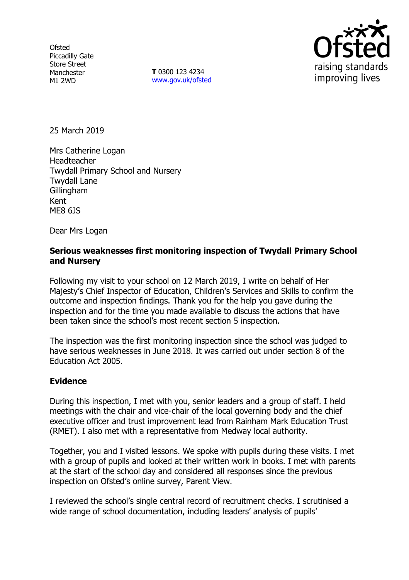**Ofsted** Piccadilly Gate Store Street Manchester M1 2WD

**T** 0300 123 4234 [www.gov.uk/ofsted](http://www.gov.uk/ofsted)



25 March 2019

Mrs Catherine Logan Headteacher Twydall Primary School and Nursery Twydall Lane **Gillingham** Kent ME8 6JS

Dear Mrs Logan

## **Serious weaknesses first monitoring inspection of Twydall Primary School and Nursery**

Following my visit to your school on 12 March 2019, I write on behalf of Her Majesty's Chief Inspector of Education, Children's Services and Skills to confirm the outcome and inspection findings. Thank you for the help you gave during the inspection and for the time you made available to discuss the actions that have been taken since the school's most recent section 5 inspection.

The inspection was the first monitoring inspection since the school was judged to have serious weaknesses in June 2018. It was carried out under section 8 of the Education Act 2005.

## **Evidence**

During this inspection, I met with you, senior leaders and a group of staff. I held meetings with the chair and vice-chair of the local governing body and the chief executive officer and trust improvement lead from Rainham Mark Education Trust (RMET). I also met with a representative from Medway local authority.

Together, you and I visited lessons. We spoke with pupils during these visits. I met with a group of pupils and looked at their written work in books. I met with parents at the start of the school day and considered all responses since the previous inspection on Ofsted's online survey, Parent View.

I reviewed the school's single central record of recruitment checks. I scrutinised a wide range of school documentation, including leaders' analysis of pupils'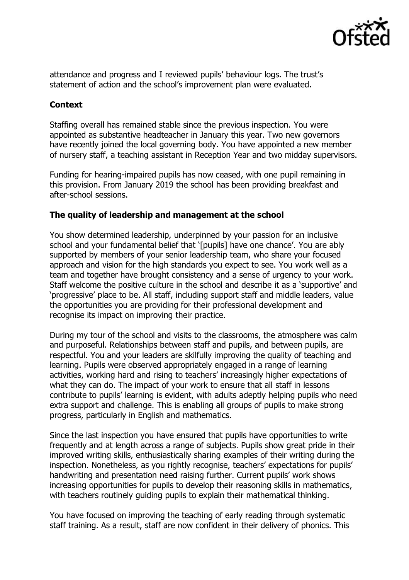

attendance and progress and I reviewed pupils' behaviour logs. The trust's statement of action and the school's improvement plan were evaluated.

## **Context**

Staffing overall has remained stable since the previous inspection. You were appointed as substantive headteacher in January this year. Two new governors have recently joined the local governing body. You have appointed a new member of nursery staff, a teaching assistant in Reception Year and two midday supervisors.

Funding for hearing-impaired pupils has now ceased, with one pupil remaining in this provision. From January 2019 the school has been providing breakfast and after-school sessions.

## **The quality of leadership and management at the school**

You show determined leadership, underpinned by your passion for an inclusive school and your fundamental belief that '[pupils] have one chance'. You are ably supported by members of your senior leadership team, who share your focused approach and vision for the high standards you expect to see. You work well as a team and together have brought consistency and a sense of urgency to your work. Staff welcome the positive culture in the school and describe it as a 'supportive' and 'progressive' place to be. All staff, including support staff and middle leaders, value the opportunities you are providing for their professional development and recognise its impact on improving their practice.

During my tour of the school and visits to the classrooms, the atmosphere was calm and purposeful. Relationships between staff and pupils, and between pupils, are respectful. You and your leaders are skilfully improving the quality of teaching and learning. Pupils were observed appropriately engaged in a range of learning activities, working hard and rising to teachers' increasingly higher expectations of what they can do. The impact of your work to ensure that all staff in lessons contribute to pupils' learning is evident, with adults adeptly helping pupils who need extra support and challenge. This is enabling all groups of pupils to make strong progress, particularly in English and mathematics.

Since the last inspection you have ensured that pupils have opportunities to write frequently and at length across a range of subjects. Pupils show great pride in their improved writing skills, enthusiastically sharing examples of their writing during the inspection. Nonetheless, as you rightly recognise, teachers' expectations for pupils' handwriting and presentation need raising further. Current pupils' work shows increasing opportunities for pupils to develop their reasoning skills in mathematics, with teachers routinely guiding pupils to explain their mathematical thinking.

You have focused on improving the teaching of early reading through systematic staff training. As a result, staff are now confident in their delivery of phonics. This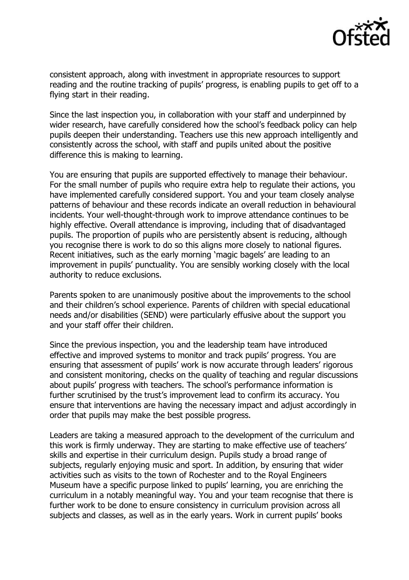

consistent approach, along with investment in appropriate resources to support reading and the routine tracking of pupils' progress, is enabling pupils to get off to a flying start in their reading.

Since the last inspection you, in collaboration with your staff and underpinned by wider research, have carefully considered how the school's feedback policy can help pupils deepen their understanding. Teachers use this new approach intelligently and consistently across the school, with staff and pupils united about the positive difference this is making to learning.

You are ensuring that pupils are supported effectively to manage their behaviour. For the small number of pupils who require extra help to regulate their actions, you have implemented carefully considered support. You and your team closely analyse patterns of behaviour and these records indicate an overall reduction in behavioural incidents. Your well-thought-through work to improve attendance continues to be highly effective. Overall attendance is improving, including that of disadvantaged pupils. The proportion of pupils who are persistently absent is reducing, although you recognise there is work to do so this aligns more closely to national figures. Recent initiatives, such as the early morning 'magic bagels' are leading to an improvement in pupils' punctuality. You are sensibly working closely with the local authority to reduce exclusions.

Parents spoken to are unanimously positive about the improvements to the school and their children's school experience. Parents of children with special educational needs and/or disabilities (SEND) were particularly effusive about the support you and your staff offer their children.

Since the previous inspection, you and the leadership team have introduced effective and improved systems to monitor and track pupils' progress. You are ensuring that assessment of pupils' work is now accurate through leaders' rigorous and consistent monitoring, checks on the quality of teaching and regular discussions about pupils' progress with teachers. The school's performance information is further scrutinised by the trust's improvement lead to confirm its accuracy. You ensure that interventions are having the necessary impact and adjust accordingly in order that pupils may make the best possible progress.

Leaders are taking a measured approach to the development of the curriculum and this work is firmly underway. They are starting to make effective use of teachers' skills and expertise in their curriculum design. Pupils study a broad range of subjects, regularly enjoying music and sport. In addition, by ensuring that wider activities such as visits to the town of Rochester and to the Royal Engineers Museum have a specific purpose linked to pupils' learning, you are enriching the curriculum in a notably meaningful way. You and your team recognise that there is further work to be done to ensure consistency in curriculum provision across all subjects and classes, as well as in the early years. Work in current pupils' books